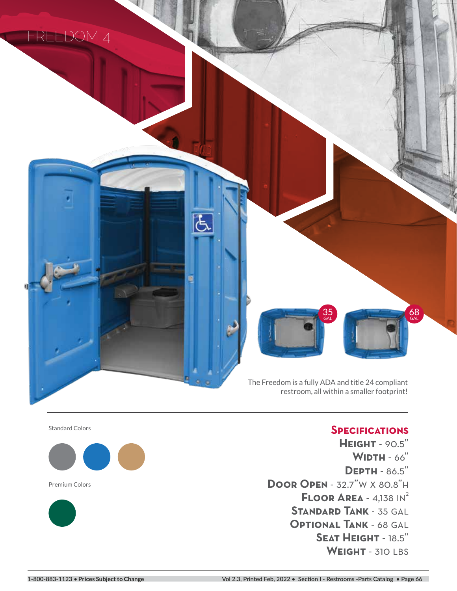

The Freedom is a fully ADA and title 24 compliant restroom, all within a smaller footprint!

35 GAL

占

Ę

Standard Colors



Premium Colors



## **Specifications**

68 GAL

**Height** - 90.5" **Width** - 66" **Depth** - 86.5" **Door Open** - 32.7"w x 80.8"h **FLOOR AREA - 4,138 IN<sup>2</sup> Standard Tank** - 35 gal **Optional Tank** - 68 gal **Seat Height** - 18.5" WEIGHT - 310 LBS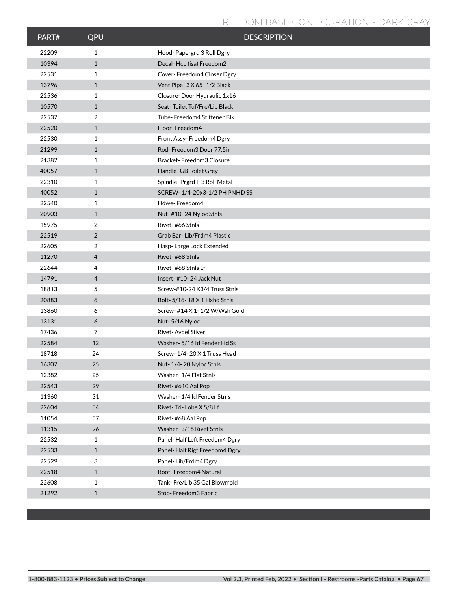## **FREEDOM BASE CONFIGURATION - DARK GRAY**

| PART# | QPU            | <b>DESCRIPTION</b>            |
|-------|----------------|-------------------------------|
| 22209 | $\mathbf{1}$   | Hood-Papergrd 3 Roll Dgry     |
| 10394 | $\mathbf{1}$   | Decal-Hcp (isa) Freedom2      |
| 22531 | $\mathbf{1}$   | Cover-Freedom4 Closer Dgry    |
| 13796 | $\mathbf{1}$   | Vent Pipe-3 X 65-1/2 Black    |
| 22536 | 1              | Closure-Door Hydraulic 1x16   |
| 10570 | $\mathbf{1}$   | Seat-Toilet Tuf/Fre/Lib Black |
| 22537 | 2              | Tube-Freedom4 Stiffener Blk   |
| 22520 | $\mathbf{1}$   | Floor-Freedom4                |
| 22530 | 1              | Front Assy-Freedom4 Dgry      |
| 21299 | $\mathbf{1}$   | Rod-Freedom3 Door 77.5in      |
| 21382 | 1              | Bracket-Freedom3 Closure      |
| 40057 | $\mathbf{1}$   | Handle- GB Toilet Grey        |
| 22310 | $\mathbf{1}$   | Spindle-Prgrd II 3 Roll Metal |
| 40052 | $\mathbf{1}$   | SCREW-1/4-20x3-1/2 PH PNHD SS |
| 22540 | $\mathbf{1}$   | Hdwe-Freedom4                 |
| 20903 | $\mathbf{1}$   | Nut-#10-24 Nyloc Stnls        |
| 15975 | 2              | Rivet-#66 Stnls               |
| 22519 | 2              | Grab Bar-Lib/Frdm4 Plastic    |
| 22605 | 2              | Hasp-Large Lock Extended      |
| 11270 | $\overline{4}$ | Rivet-#68 Stnls               |
| 22644 | $\overline{4}$ | Rivet-#68 Stnls Lf            |
| 14791 | $\overline{4}$ | Insert-#10-24 Jack Nut        |
| 18813 | 5              | Screw-#10-24 X3/4 Truss Stnls |
| 20883 | 6              | Bolt-5/16-18 X 1 Hxhd Stnls   |
| 13860 | 6              | Screw- #14 X 1-1/2 W/Wsh Gold |
| 13131 | 6              | Nut-5/16 Nyloc                |
| 17436 | $\overline{7}$ | Rivet-Avdel Silver            |
| 22584 | 12             | Washer-5/16 Id Fender Hd Ss   |
| 18718 | 24             | Screw-1/4-20 X 1 Truss Head   |
| 16307 | 25             | Nut-1/4-20 Nyloc Stnls        |
| 12382 | 25             | Washer-1/4 Flat Stnls         |
| 22543 | 29             | Rivet-#610 Aal Pop            |
| 11360 | 31             | Washer-1/4 Id Fender Stnls    |
| 22604 | 54             | Rivet-Tri-Lobe X 5/8 Lf       |
| 11054 | 57             | Rivet-#68 Aal Pop             |
| 11315 | 96             | Washer-3/16 Rivet Stnls       |
| 22532 | $\mathbf{1}$   | Panel-Half Left Freedom4 Dgry |
| 22533 | $\mathbf{1}$   | Panel-Half Rigt Freedom4 Dgry |
| 22529 | 3              | Panel-Lib/Frdm4 Dgry          |
| 22518 | $\mathbf{1}$   | Roof-Freedom4 Natural         |
| 22608 | 1              | Tank-Fre/Lib 35 Gal Blowmold  |
| 21292 | $\mathbf{1}$   | Stop-Freedom3 Fabric          |
|       |                |                               |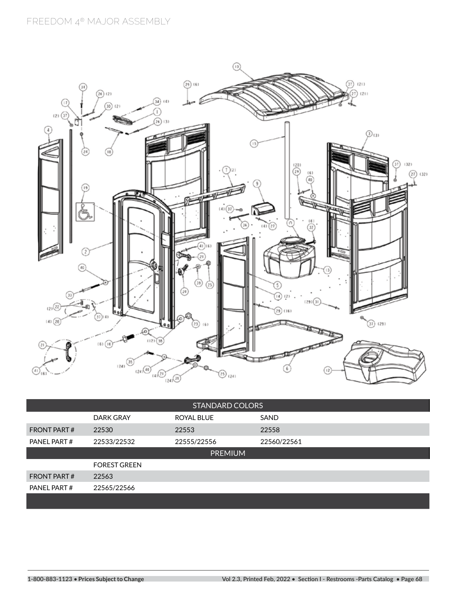

| <b>STANDARD COLORS</b> |                     |             |             |  |  |  |  |
|------------------------|---------------------|-------------|-------------|--|--|--|--|
|                        | DARK GRAY           | ROYAL BLUE  | <b>SAND</b> |  |  |  |  |
| <b>FRONT PART#</b>     | 22530               | 22553       | 22558       |  |  |  |  |
| PANEL PART#            | 22533/22532         | 22555/22556 | 22560/22561 |  |  |  |  |
| <b>PREMIUM</b>         |                     |             |             |  |  |  |  |
|                        | <b>FOREST GREEN</b> |             |             |  |  |  |  |
| <b>FRONT PART#</b>     | 22563               |             |             |  |  |  |  |
| PANEL PART#            | 22565/22566         |             |             |  |  |  |  |
|                        |                     |             |             |  |  |  |  |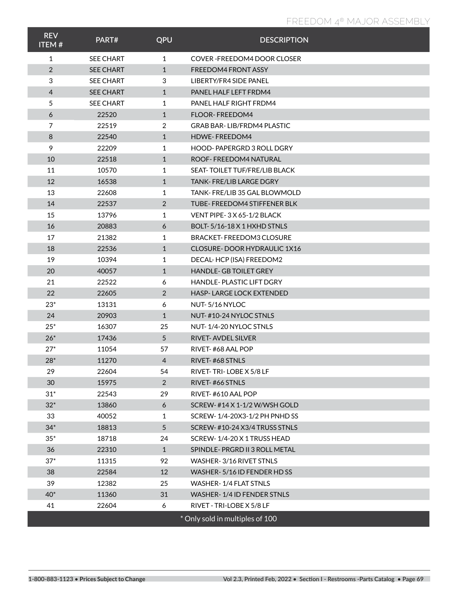## **FREEDOM 4® MAJOR ASSEMBLY FREEDOM 4® MAJOR ASSEMBLY**

| <b>REV</b><br><b>ITEM#</b> | PART#            | QPU             | <b>DESCRIPTION</b>                |
|----------------------------|------------------|-----------------|-----------------------------------|
| 1                          | <b>SEE CHART</b> | $\mathbf{1}$    | COVER - FREEDOM4 DOOR CLOSER      |
| 2                          | <b>SEE CHART</b> | $\mathbf{1}$    | <b>FREEDOM4 FRONT ASSY</b>        |
| 3                          | <b>SEE CHART</b> | 3               | LIBERTY/FR4 SIDE PANEL            |
| $\overline{4}$             | <b>SEE CHART</b> | $\mathbf{1}$    | PANEL HALF LEFT FRDM4             |
| 5                          | <b>SEE CHART</b> | $\mathbf{1}$    | PANEL HALF RIGHT FRDM4            |
| 6                          | 22520            | $\mathbf{1}$    | <b>FLOOR-FREEDOM4</b>             |
| $\overline{7}$             | 22519            | 2               | <b>GRAB BAR-LIB/FRDM4 PLASTIC</b> |
| 8                          | 22540            | $\mathbf{1}$    | <b>HDWE-FREEDOM4</b>              |
| 9                          | 22209            | 1               | HOOD-PAPERGRD 3 ROLL DGRY         |
| 10                         | 22518            | $\mathbf{1}$    | ROOF-FREEDOM4 NATURAL             |
| 11                         | 10570            | $\mathbf{1}$    | SEAT-TOILET TUF/FRE/LIB BLACK     |
| 12                         | 16538            | $\mathbf{1}$    | <b>TANK-FRE/LIB LARGE DGRY</b>    |
| 13                         | 22608            | 1               | TANK-FRE/LIB 35 GAL BLOWMOLD      |
| 14                         | 22537            | 2               | TUBE-FREEDOM4 STIFFENER BLK       |
| 15                         | 13796            | 1               | VENT PIPE-3 X 65-1/2 BLACK        |
| 16                         | 20883            | 6               | BOLT-5/16-18 X 1 HXHD STNLS       |
| 17                         | 21382            | 1               | BRACKET-FREEDOM3 CLOSURE          |
| 18                         | 22536            | $\mathbf{1}$    | CLOSURE-DOOR HYDRAULIC 1X16       |
| 19                         | 10394            | 1               | DECAL-HCP (ISA) FREEDOM2          |
| 20                         | 40057            | $\mathbf{1}$    | <b>HANDLE-GB TOILET GREY</b>      |
| 21                         | 22522            | 6               | <b>HANDLE-PLASTIC LIFT DGRY</b>   |
| 22                         | 22605            | 2               | <b>HASP-LARGE LOCK EXTENDED</b>   |
| $23*$                      | 13131            | 6               | NUT-5/16 NYLOC                    |
| 24                         | 20903            | $\mathbf{1}$    | NUT-#10-24 NYLOC STNLS            |
| $25*$                      | 16307            | 25              | NUT-1/4-20 NYLOC STNLS            |
| $26*$                      | 17436            | $5\overline{)}$ | <b>RIVET-AVDEL SILVER</b>         |
| $27*$                      | 11054            | 57              | RIVET-#68 AAL POP                 |
| $28*$                      | 11270            | 4               | RIVET-#68 STNLS                   |
| 29                         | 22604            | 54              | RIVET-TRI-LOBE X 5/8 LF           |
| 30                         | 15975            | $\overline{2}$  | RIVET-#66 STNLS                   |
| $31*$                      | 22543            | 29              | RIVET-#610 AAL POP                |
| $32*$                      | 13860            | 6               | SCREW-#14 X 1-1/2 W/WSH GOLD      |
| 33                         | 40052            | 1               | SCREW-1/4-20X3-1/2 PH PNHD SS     |
| $34*$                      | 18813            | $5\overline{)}$ | SCREW-#10-24 X3/4 TRUSS STNLS     |
| $35*$                      | 18718            | 24              | SCREW-1/4-20 X 1 TRUSS HEAD       |
| 36                         | 22310            | $\mathbf{1}$    | SPINDLE-PRGRD II 3 ROLL METAL     |
| $37*$                      | 11315            | 92              | WASHER-3/16 RIVET STNLS           |
| 38                         | 22584            | 12              | WASHER-5/16 ID FENDER HD SS       |
| 39                         | 12382            | 25              | WASHER-1/4 FLAT STNLS             |
| $40*$                      | 11360            | 31              | WASHER-1/4 ID FENDER STNLS        |
| 41                         | 22604            | 6               | RIVET - TRI-LOBE X 5/8 LF         |
|                            |                  |                 | * Only sold in multiples of 100   |